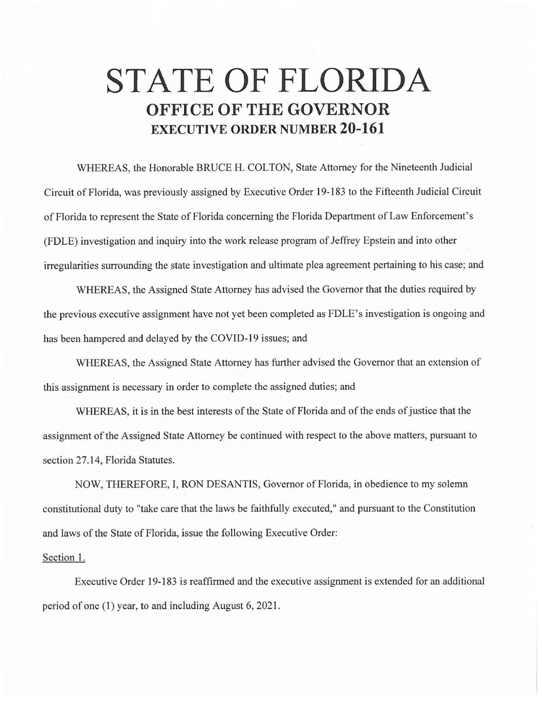## **STATE OF FLORIDA OFFICE OF THE GOVERNOR EXECUTIVE ORDER NUMBER 20-161**

WHEREAS, the Honorable BRUCE H. COLTON, State Attorney for the Nineteenth Judicial Circuit of Florida, was previously assigned by Executive Order 19-183 to the Fifteenth Judicial Circuit of Florida to represent the State of Florida concerning the Florida Department of Law Enforcement's (FDLE) investigation and inquiry into the work release program of Jeffrey Epstein and into other irregularities surrounding the state investigation and ultimate plea agreement pertaining to his case; and

WHEREAS, the Assigned State Attorney has advised the Governor that the duties required by the previous executive assignment have not yet been completed as FDLE's investigation is ongoing and has been hampered and delayed by the COVID-19 issues; and

WHEREAS, the Assigned State Attorney has further advised the Governor that an extension of this assignment is necessary in order to complete the assigned duties; and

WHEREAS, it is in the best interests of the State of Florida and of the ends of justice that the assignment of the Assigned State Attorney be continued with respect to the above matters, pursuant to section 27.14, Florida Statutes.

NOW, THEREFORE, I, RON DESANTIS, Governor of Florida, in obedience to my solemn constitutional duty to "take care that the laws be faithfully executed," and pursuant to the Constitution and laws of the State of Florida, issue the following Executive Order:

## Section 1.

Executive Order 19-183 is reaffirmed and the executive assignment is extended for an additional period of one (1) year, to and including August 6, 2021 .